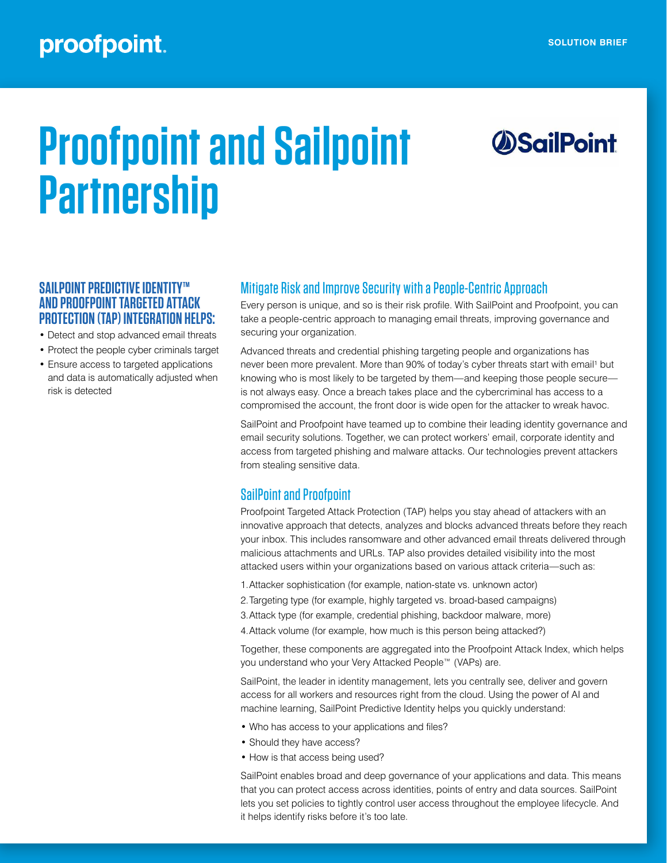## proofpoint.

# **Proofpoint and Sailpoint Partnership**

# *OSailPoint*

#### **SAILPOINT PREDICTIVE IDENTITY™ AND PROOFPOINT TARGETED ATTACK PROTECTION (TAP) INTEGRATION HELPS:**

- Detect and stop advanced email threats
- Protect the people cyber criminals target
- Ensure access to targeted applications and data is automatically adjusted when risk is detected

#### Mitigate Risk and Improve Security with a People‑Centric Approach

Every person is unique, and so is their risk profile. With SailPoint and Proofpoint, you can take a people-centric approach to managing email threats, improving governance and securing your organization.

Advanced threats and credential phishing targeting people and organizations has never been more prevalent. More than 90% of today's cyber threats start with email<sup>1</sup> but knowing who is most likely to be targeted by them—and keeping those people secure is not always easy. Once a breach takes place and the cybercriminal has access to a compromised the account, the front door is wide open for the attacker to wreak havoc.

SailPoint and Proofpoint have teamed up to combine their leading identity governance and email security solutions. Together, we can protect workers' email, corporate identity and access from targeted phishing and malware attacks. Our technologies prevent attackers from stealing sensitive data.

#### SailPoint and Proofpoint

Proofpoint Targeted Attack Protection (TAP) helps you stay ahead of attackers with an innovative approach that detects, analyzes and blocks advanced threats before they reach your inbox. This includes ransomware and other advanced email threats delivered through malicious attachments and URLs. TAP also provides detailed visibility into the most attacked users within your organizations based on various attack criteria—such as:

- 1.Attacker sophistication (for example, nation-state vs. unknown actor)
- 2.Targeting type (for example, highly targeted vs. broad-based campaigns)
- 3.Attack type (for example, credential phishing, backdoor malware, more)
- 4.Attack volume (for example, how much is this person being attacked?)

Together, these components are aggregated into the Proofpoint Attack Index, which helps you understand who your Very Attacked People™ (VAPs) are.

SailPoint, the leader in identity management, lets you centrally see, deliver and govern access for all workers and resources right from the cloud. Using the power of AI and machine learning, SailPoint Predictive Identity helps you quickly understand:

- Who has access to your applications and files?
- Should they have access?
- How is that access being used?

SailPoint enables broad and deep governance of your applications and data. This means that you can protect access across identities, points of entry and data sources. SailPoint lets you set policies to tightly control user access throughout the employee lifecycle. And it helps identify risks before it's too late.